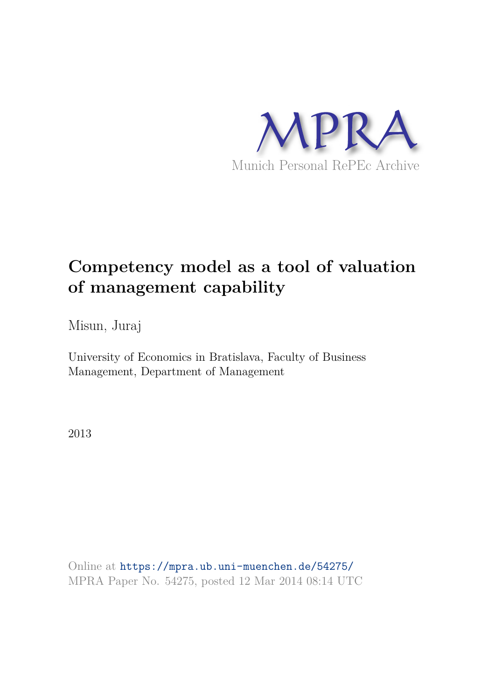

# **Competency model as a tool of valuation of management capability**

Misun, Juraj

University of Economics in Bratislava, Faculty of Business Management, Department of Management

2013

Online at https://mpra.ub.uni-muenchen.de/54275/ MPRA Paper No. 54275, posted 12 Mar 2014 08:14 UTC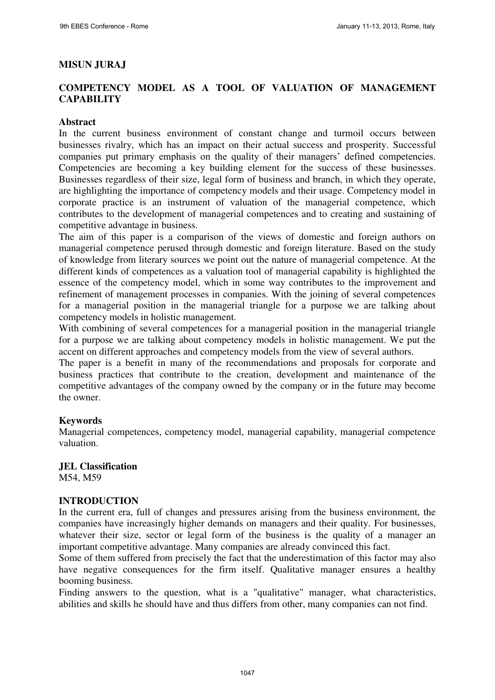## **MISUN JURAJ**

## **COMPETENCY MODEL AS A TOOL OF VALUATION OF MANAGEMENT CAPABILITY**

#### **Abstract**

In the current business environment of constant change and turmoil occurs between businesses rivalry, which has an impact on their actual success and prosperity. Successful companies put primary emphasis on the quality of their managers' defined competencies. Competencies are becoming a key building element for the success of these businesses. Businesses regardless of their size, legal form of business and branch, in which they operate, are highlighting the importance of competency models and their usage. Competency model in corporate practice is an instrument of valuation of the managerial competence, which contributes to the development of managerial competences and to creating and sustaining of competitive advantage in business.

The aim of this paper is a comparison of the views of domestic and foreign authors on managerial competence perused through domestic and foreign literature. Based on the study of knowledge from literary sources we point out the nature of managerial competence. At the different kinds of competences as a valuation tool of managerial capability is highlighted the essence of the competency model, which in some way contributes to the improvement and refinement of management processes in companies. With the joining of several competences for a managerial position in the managerial triangle for a purpose we are talking about competency models in holistic management.

With combining of several competences for a managerial position in the managerial triangle for a purpose we are talking about competency models in holistic management. We put the accent on different approaches and competency models from the view of several authors.

The paper is a benefit in many of the recommendations and proposals for corporate and business practices that contribute to the creation, development and maintenance of the competitive advantages of the company owned by the company or in the future may become the owner.

## **Keywords**

Managerial competences, competency model, managerial capability, managerial competence valuation.

## **JEL Classification**

M54, M59

#### **INTRODUCTION**

In the current era, full of changes and pressures arising from the business environment, the companies have increasingly higher demands on managers and their quality. For businesses, whatever their size, sector or legal form of the business is the quality of a manager an important competitive advantage. Many companies are already convinced this fact.

Some of them suffered from precisely the fact that the underestimation of this factor may also have negative consequences for the firm itself. Qualitative manager ensures a healthy booming business.

Finding answers to the question, what is a "qualitative" manager, what characteristics, abilities and skills he should have and thus differs from other, many companies can not find.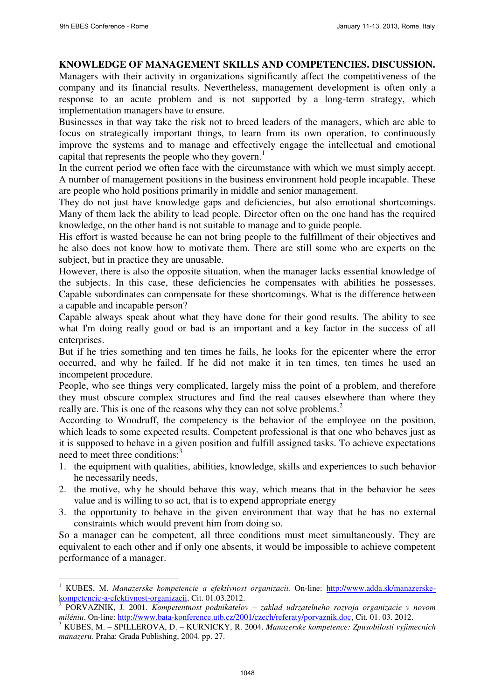-

## **KNOWLEDGE OF MANAGEMENT SKILLS AND COMPETENCIES. DISCUSSION.**

Managers with their activity in organizations significantly affect the competitiveness of the company and its financial results. Nevertheless, management development is often only a response to an acute problem and is not supported by a long-term strategy, which implementation managers have to ensure.

Businesses in that way take the risk not to breed leaders of the managers, which are able to focus on strategically important things, to learn from its own operation, to continuously improve the systems and to manage and effectively engage the intellectual and emotional capital that represents the people who they govern.<sup>1</sup>

In the current period we often face with the circumstance with which we must simply accept. A number of management positions in the business environment hold people incapable. These are people who hold positions primarily in middle and senior management.

They do not just have knowledge gaps and deficiencies, but also emotional shortcomings. Many of them lack the ability to lead people. Director often on the one hand has the required knowledge, on the other hand is not suitable to manage and to guide people.

His effort is wasted because he can not bring people to the fulfillment of their objectives and he also does not know how to motivate them. There are still some who are experts on the subject, but in practice they are unusable.

However, there is also the opposite situation, when the manager lacks essential knowledge of the subjects. In this case, these deficiencies he compensates with abilities he possesses. Capable subordinates can compensate for these shortcomings. What is the difference between a capable and incapable person?

Capable always speak about what they have done for their good results. The ability to see what I'm doing really good or bad is an important and a key factor in the success of all enterprises.

But if he tries something and ten times he fails, he looks for the epicenter where the error occurred, and why he failed. If he did not make it in ten times, ten times he used an incompetent procedure.

People, who see things very complicated, largely miss the point of a problem, and therefore they must obscure complex structures and find the real causes elsewhere than where they really are. This is one of the reasons why they can not solve problems.<sup>2</sup>

According to Woodruff, the competency is the behavior of the employee on the position, which leads to some expected results. Competent professional is that one who behaves just as it is supposed to behave in a given position and fulfill assigned tasks. To achieve expectations need to meet three conditions:<sup>3</sup>

- 1. the equipment with qualities, abilities, knowledge, skills and experiences to such behavior he necessarily needs,
- 2. the motive, why he should behave this way, which means that in the behavior he sees value and is willing to so act, that is to expend appropriate energy
- 3. the opportunity to behave in the given environment that way that he has no external constraints which would prevent him from doing so.

So a manager can be competent, all three conditions must meet simultaneously. They are equivalent to each other and if only one absents, it would be impossible to achieve competent performance of a manager.

<sup>1</sup> KUBES, M. *Manazerske kompetencie a efektívnost organizacii.* On-line: [http://www.adda.sk/manazerske](http://www.adda.sk/manazerske-kompetencie-a-efektivnost-organizacii)[kompetencie-a-efektivnost-organizacii,](http://www.adda.sk/manazerske-kompetencie-a-efektivnost-organizacii) Cit. 01.03.2012.<br><sup>2</sup> POPVAZNIK I 2001. Kompetentuati podpikatele:

PORVAZNIK, J. 2001. *Kompetentnost podnikatelov – zaklad udrzatelneho rozvoja organizacie v novom miléniu*. On-line: [http://www.bata-konference.utb.cz/2001/czech/referaty/porvaznik.doc,](http://www.bata-konference.utb.cz/2001/czech/referaty/porvaznik.doc) Cit. 01. 03. 2012.

<sup>3</sup> KUBES, M. – SPILLEROVA, D. – KURNICKY, R. 2004. *Manazerske kompetence: Zpusobilosti vyjimecnich manazeru.* Praha: Grada Publishing, 2004. pp. 27.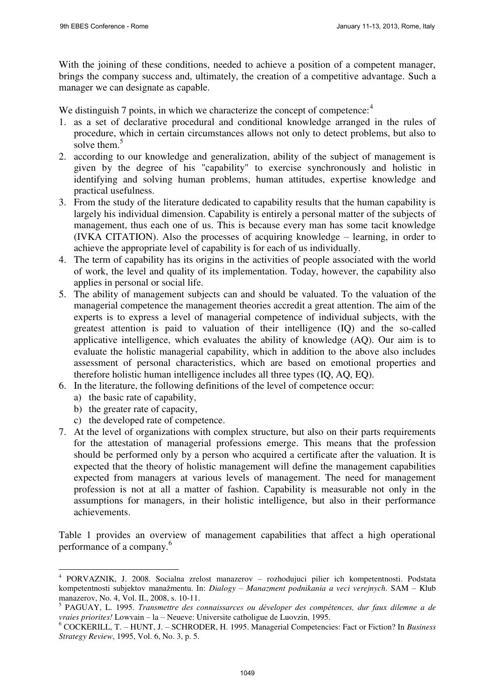With the joining of these conditions, needed to achieve a position of a competent manager, brings the company success and, ultimately, the creation of a competitive advantage. Such a manager we can designate as capable.

We distinguish 7 points, in which we characterize the concept of competence:<sup>4</sup>

- 1. as a set of declarative procedural and conditional knowledge arranged in the rules of procedure, which in certain circumstances allows not only to detect problems, but also to solve them.<sup>5</sup>
- 2. according to our knowledge and generalization, ability of the subject of management is given by the degree of his "capability" to exercise synchronously and holistic in identifying and solving human problems, human attitudes, expertise knowledge and practical usefulness.
- 3. From the study of the literature dedicated to capability results that the human capability is largely his individual dimension. Capability is entirely a personal matter of the subjects of management, thus each one of us. This is because every man has some tacit knowledge (IVKA CITATION). Also the processes of acquiring knowledge – learning, in order to achieve the appropriate level of capability is for each of us individually.
- 4. The term of capability has its origins in the activities of people associated with the world of work, the level and quality of its implementation. Today, however, the capability also applies in personal or social life.
- 5. The ability of management subjects can and should be valuated. To the valuation of the managerial competence the management theories accredit a great attention. The aim of the experts is to express a level of managerial competence of individual subjects, with the greatest attention is paid to valuation of their intelligence (IQ) and the so-called applicative intelligence, which evaluates the ability of knowledge (AQ). Our aim is to evaluate the holistic managerial capability, which in addition to the above also includes assessment of personal characteristics, which are based on emotional properties and therefore holistic human intelligence includes all three types (IQ, AQ, EQ).
- 6. In the literature, the following definitions of the level of competence occur:
	- a) the basic rate of capability,
	- b) the greater rate of capacity,

-

- c) the developed rate of competence.
- 7. At the level of organizations with complex structure, but also on their parts requirements for the attestation of managerial professions emerge. This means that the profession should be performed only by a person who acquired a certificate after the valuation. It is expected that the theory of holistic management will define the management capabilities expected from managers at various levels of management. The need for management profession is not at all a matter of fashion. Capability is measurable not only in the assumptions for managers, in their holistic intelligence, but also in their performance achievements.

Table 1 provides an overview of management capabilities that affect a high operational performance of a company.<sup>6</sup>

<sup>4</sup> PORVAZNIK, J. 2008. Socialna zrelost manazerov – rozhodujuci pilier ich kompetentnosti. Podstata kompetentnosti subjektov manažmentu. In: *Dialogy – Manazment podnikania a veci verejnych*. SAM – Klub manazerov, No. 4, Vol. II., 2008, s. 10-11.

<sup>5</sup> PAGUAY, L. 1995. *Transmettre des connaissarces ou déveloper des compétences, dur faux dilemne a de vraies priorites!* Lowvain – la – Neueve: Universite catholigue de Luovzin, 1995.

<sup>6</sup> COCKERILL, T. – HUNT, J. – SCHRODER, H. 1995. Managerial Competencies: Fact or Fiction? In *Business Strategy Review*, 1995, Vol. 6, No. 3, p. 5.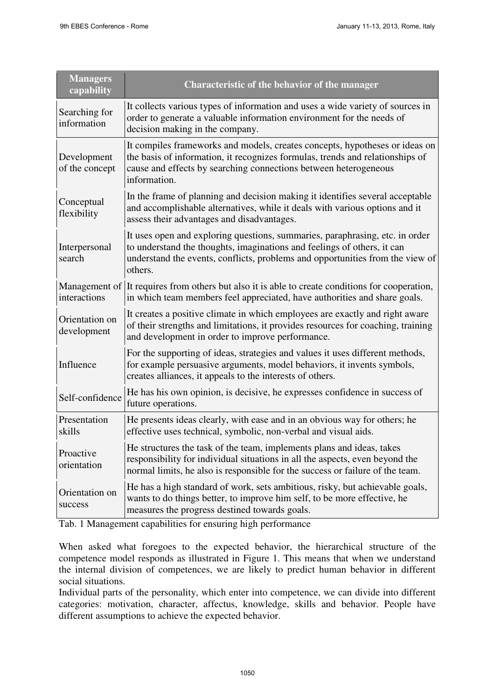| <b>Managers</b><br>capability | <b>Characteristic of the behavior of the manager</b>                                                                                                                                                                                                |  |  |
|-------------------------------|-----------------------------------------------------------------------------------------------------------------------------------------------------------------------------------------------------------------------------------------------------|--|--|
| Searching for<br>information  | It collects various types of information and uses a wide variety of sources in<br>order to generate a valuable information environment for the needs of<br>decision making in the company.                                                          |  |  |
| Development<br>of the concept | It compiles frameworks and models, creates concepts, hypotheses or ideas on<br>the basis of information, it recognizes formulas, trends and relationships of<br>cause and effects by searching connections between heterogeneous<br>information.    |  |  |
| Conceptual<br>flexibility     | In the frame of planning and decision making it identifies several acceptable<br>and accomplishable alternatives, while it deals with various options and it<br>assess their advantages and disadvantages.                                          |  |  |
| Interpersonal<br>search       | It uses open and exploring questions, summaries, paraphrasing, etc. in order<br>to understand the thoughts, imaginations and feelings of others, it can<br>understand the events, conflicts, problems and opportunities from the view of<br>others. |  |  |
| Management of<br>interactions | It requires from others but also it is able to create conditions for cooperation,<br>in which team members feel appreciated, have authorities and share goals.                                                                                      |  |  |
| Orientation on<br>development | It creates a positive climate in which employees are exactly and right aware<br>of their strengths and limitations, it provides resources for coaching, training<br>and development in order to improve performance.                                |  |  |
| Influence                     | For the supporting of ideas, strategies and values it uses different methods,<br>for example persuasive arguments, model behaviors, it invents symbols,<br>creates alliances, it appeals to the interests of others.                                |  |  |
| Self-confidence               | He has his own opinion, is decisive, he expresses confidence in success of<br>future operations.                                                                                                                                                    |  |  |
| Presentation<br>skills        | He presents ideas clearly, with ease and in an obvious way for others; he<br>effective uses technical, symbolic, non-verbal and visual aids.                                                                                                        |  |  |
| Proactive<br>orientation      | He structures the task of the team, implements plans and ideas, takes<br>responsibility for individual situations in all the aspects, even beyond the<br>normal limits, he also is responsible for the success or failure of the team.              |  |  |
| Orientation on<br>success     | He has a high standard of work, sets ambitious, risky, but achievable goals,<br>wants to do things better, to improve him self, to be more effective, he<br>measures the progress destined towards goals.                                           |  |  |

Tab. 1 Management capabilities for ensuring high performance

When asked what foregoes to the expected behavior, the hierarchical structure of the competence model responds as illustrated in Figure 1. This means that when we understand the internal division of competences, we are likely to predict human behavior in different social situations.

Individual parts of the personality, which enter into competence, we can divide into different categories: motivation, character, affectus, knowledge, skills and behavior. People have different assumptions to achieve the expected behavior.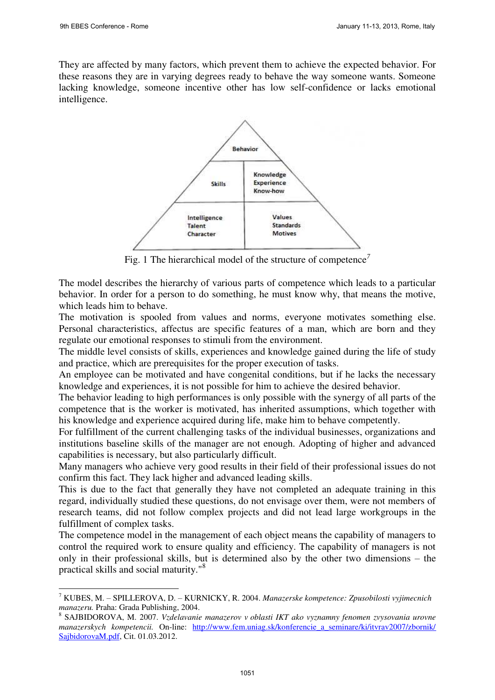They are affected by many factors, which prevent them to achieve the expected behavior. For these reasons they are in varying degrees ready to behave the way someone wants. Someone lacking knowledge, someone incentive other has low self-confidence or lacks emotional intelligence.



Fig. 1 The hierarchical model of the structure of competence*<sup>7</sup>*

The model describes the hierarchy of various parts of competence which leads to a particular behavior. In order for a person to do something, he must know why, that means the motive, which leads him to behave.

The motivation is spooled from values and norms, everyone motivates something else. Personal characteristics, affectus are specific features of a man, which are born and they regulate our emotional responses to stimuli from the environment.

The middle level consists of skills, experiences and knowledge gained during the life of study and practice, which are prerequisites for the proper execution of tasks.

An employee can be motivated and have congenital conditions, but if he lacks the necessary knowledge and experiences, it is not possible for him to achieve the desired behavior.

The behavior leading to high performances is only possible with the synergy of all parts of the competence that is the worker is motivated, has inherited assumptions, which together with his knowledge and experience acquired during life, make him to behave competently.

For fulfillment of the current challenging tasks of the individual businesses, organizations and institutions baseline skills of the manager are not enough. Adopting of higher and advanced capabilities is necessary, but also particularly difficult.

Many managers who achieve very good results in their field of their professional issues do not confirm this fact. They lack higher and advanced leading skills.

This is due to the fact that generally they have not completed an adequate training in this regard, individually studied these questions, do not envisage over them, were not members of research teams, did not follow complex projects and did not lead large workgroups in the fulfillment of complex tasks.

The competence model in the management of each object means the capability of managers to control the required work to ensure quality and efficiency. The capability of managers is not only in their professional skills, but is determined also by the other two dimensions – the practical skills and social maturity."<sup>8</sup>

<sup>-</sup>7 KUBES, M. – SPILLEROVA, D. – KURNICKY, R. 2004. *Manazerske kompetence: Zpusobilosti vyjimecnich manazeru.* Praha: Grada Publishing, 2004.

<sup>8</sup> SAJBIDOROVA, M. 2007. *Vzdelavanie manazerov v oblasti IKT ako vyznamny fenomen zvysovania urovne manazerskych kompetencii.* On-line: http://www.fem.uniag.sk/konferencie a seminare/ki/itvrav2007/zbornik/ [SajbidorovaM.pdf,](http://www.fem.uniag.sk/konferencie_a_seminare/ki/itvrav2007/zbornik/%20SajbidorovaM.pdf) Cit. 01.03.2012.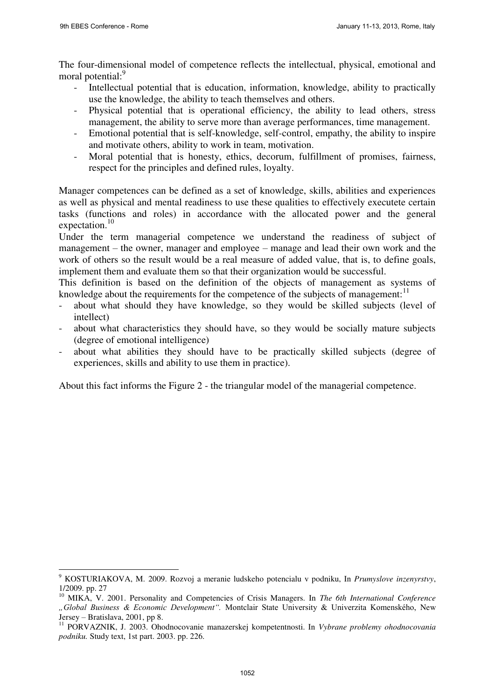The four-dimensional model of competence reflects the intellectual, physical, emotional and moral potential:<sup>9</sup>

- Intellectual potential that is education, information, knowledge, ability to practically use the knowledge, the ability to teach themselves and others.
- Physical potential that is operational efficiency, the ability to lead others, stress management, the ability to serve more than average performances, time management.
- Emotional potential that is self-knowledge, self-control, empathy, the ability to inspire and motivate others, ability to work in team, motivation.
- Moral potential that is honesty, ethics, decorum, fulfillment of promises, fairness, respect for the principles and defined rules, loyalty.

Manager competences can be defined as a set of knowledge, skills, abilities and experiences as well as physical and mental readiness to use these qualities to effectively executete certain tasks (functions and roles) in accordance with the allocated power and the general expectation. $10$ 

Under the term managerial competence we understand the readiness of subject of management – the owner, manager and employee – manage and lead their own work and the work of others so the result would be a real measure of added value, that is, to define goals, implement them and evaluate them so that their organization would be successful.

This definition is based on the definition of the objects of management as systems of knowledge about the requirements for the competence of the subjects of management:<sup>11</sup>

- about what should they have knowledge, so they would be skilled subjects (level of intellect)
- about what characteristics they should have, so they would be socially mature subjects (degree of emotional intelligence)
- about what abilities they should have to be practically skilled subjects (degree of experiences, skills and ability to use them in practice).

About this fact informs the Figure 2 - the triangular model of the managerial competence.

 9 KOSTURIAKOVA, M. 2009. Rozvoj a meranie ludskeho potencialu v podniku, In *Prumyslove inzenyrstvy*, 1/2009. pp. 27

<sup>&</sup>lt;sup>10</sup> MIKA, V. 2001. Personality and Competencies of Crisis Managers. In *The 6th International Conference "Global Business & Economic Development".* Montclair State University & Univerzita Komenského, New Jersey – Bratislava, 2001, pp 8.

<sup>11</sup> PORVAZNIK, J. 2003. Ohodnocovanie manazerskej kompetentnosti. In *Vybrane problemy ohodnocovania podniku.* Study text, 1st part. 2003. pp. 226.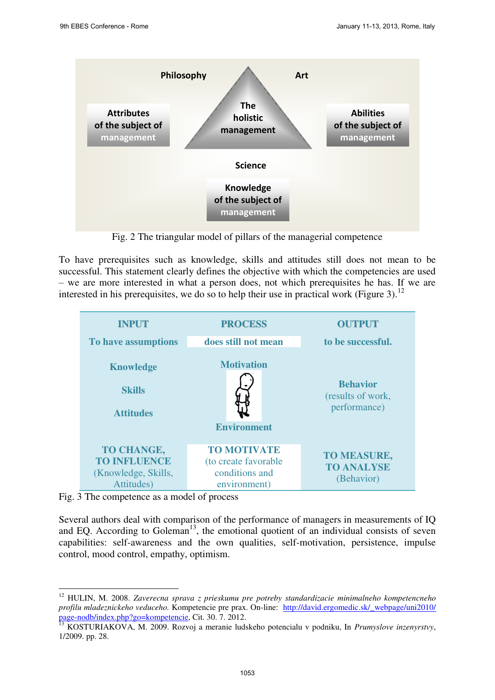

Fig. 2 The triangular model of pillars of the managerial competence

To have prerequisites such as knowledge, skills and attitudes still does not mean to be successful. This statement clearly defines the objective with which the competencies are used – we are more interested in what a person does, not which prerequisites he has. If we are interested in his prerequisites, we do so to help their use in practical work (Figure 3).<sup>12</sup>



Fig. 3 The competence as a model of process

-

Several authors deal with comparison of the performance of managers in measurements of IQ and EQ. According to Goleman<sup>13</sup>, the emotional quotient of an individual consists of seven capabilities: self-awareness and the own qualities, self-motivation, persistence, impulse control, mood control, empathy, optimism.

<sup>12</sup> HULIN, M. 2008. *Zaverecna sprava z prieskumu pre potreby standardizacie minimalneho kompetencneho profilu mladeznickeho veduceho.* Kompetencie pre prax. On-line: [http://david.ergomedic.sk/\\_webpage/uni2010/](http://david.ergomedic.sk/_webpage/uni2010/%20page-nodb/index.php?go=kompetencie)  [page-nodb/index.php?go=kompetencie,](http://david.ergomedic.sk/_webpage/uni2010/%20page-nodb/index.php?go=kompetencie) Cit. 30. 7. 2012.

<sup>13</sup> KOSTURIAKOVA, M. 2009. Rozvoj a meranie ludskeho potencialu v podniku, In *Prumyslove inzenyrstvy*, 1/2009. pp. 28.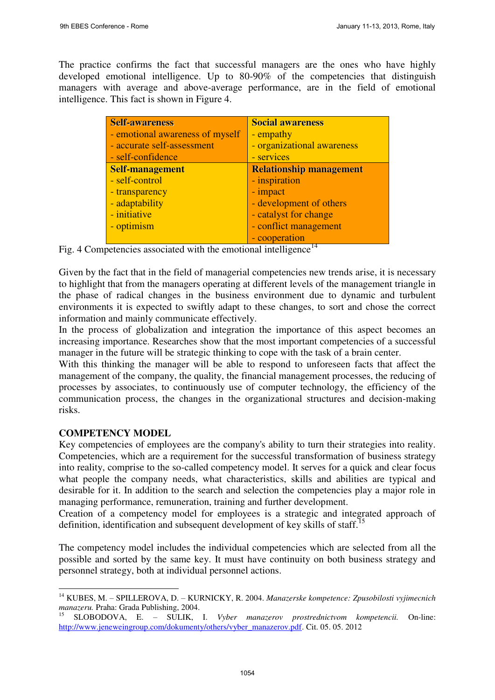The practice confirms the fact that successful managers are the ones who have highly developed emotional intelligence. Up to 80-90% of the competencies that distinguish managers with average and above-average performance, are in the field of emotional intelligence. This fact is shown in Figure 4.

| Self-awareness                  | <b>Social awareness</b>        |  |
|---------------------------------|--------------------------------|--|
| - emotional awareness of myself | - empathy                      |  |
| - accurate self-assessment      | - organizational awareness     |  |
| - self-confidence               | - services                     |  |
| <b>Self-management</b>          | <b>Relationship management</b> |  |
| - self-control                  | - inspiration                  |  |
| - transparency                  | - impact                       |  |
| - adaptability                  | - development of others        |  |
| - initiative                    | - catalyst for change          |  |
| - optimism                      | - conflict management          |  |
|                                 | - cooperation                  |  |

Fig. 4 Competencies associated with the emotional intelligence<sup>14</sup>

Given by the fact that in the field of managerial competencies new trends arise, it is necessary to highlight that from the managers operating at different levels of the management triangle in the phase of radical changes in the business environment due to dynamic and turbulent environments it is expected to swiftly adapt to these changes, to sort and chose the correct information and mainly communicate effectively.

In the process of globalization and integration the importance of this aspect becomes an increasing importance. Researches show that the most important competencies of a successful manager in the future will be strategic thinking to cope with the task of a brain center.

With this thinking the manager will be able to respond to unforeseen facts that affect the management of the company, the quality, the financial management processes, the reducing of processes by associates, to continuously use of computer technology, the efficiency of the communication process, the changes in the organizational structures and decision-making risks.

#### **COMPETENCY MODEL**

-

Key competencies of employees are the company's ability to turn their strategies into reality. Competencies, which are a requirement for the successful transformation of business strategy into reality, comprise to the so-called competency model. It serves for a quick and clear focus what people the company needs, what characteristics, skills and abilities are typical and desirable for it. In addition to the search and selection the competencies play a major role in managing performance, remuneration, training and further development.

Creation of a competency model for employees is a strategic and integrated approach of definition, identification and subsequent development of key skills of staff.<sup>15</sup>

The competency model includes the individual competencies which are selected from all the possible and sorted by the same key. It must have continuity on both business strategy and personnel strategy, both at individual personnel actions.

<sup>14</sup> KUBES, M. – SPILLEROVA, D. – KURNICKY, R. 2004. *Manazerske kompetence: Zpusobilosti vyjimecnich manazeru.* Praha: Grada Publishing, 2004.

<sup>15</sup> SLOBODOVA, E. – SULIK, I. *Vyber manazerov prostrednictvom kompetencii.* On-line: [http://www.jeneweingroup.com/dokumenty/others/vyber\\_manazerov.pdf.](http://www.jeneweingroup.com/dokumenty/others/vyber_manazerov.pdf) Cit. 05. 05. 2012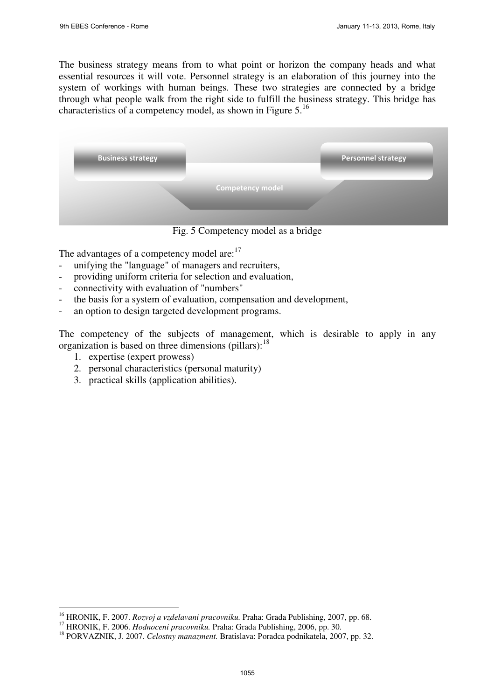The business strategy means from to what point or horizon the company heads and what essential resources it will vote. Personnel strategy is an elaboration of this journey into the system of workings with human beings. These two strategies are connected by a bridge through what people walk from the right side to fulfill the business strategy. This bridge has characteristics of a competency model, as shown in Figure 5.<sup>16</sup>

| <b>Business strategy</b> |                         | <b>Personnel strategy</b> |
|--------------------------|-------------------------|---------------------------|
|                          | <b>Competency model</b> |                           |

Fig. 5 Competency model as a bridge

The advantages of a competency model are:<sup>17</sup>

- unifying the "language" of managers and recruiters,
- providing uniform criteria for selection and evaluation,
- connectivity with evaluation of "numbers"
- the basis for a system of evaluation, compensation and development,
- an option to design targeted development programs.

The competency of the subjects of management, which is desirable to apply in any organization is based on three dimensions (pillars): $^{18}$ 

1. expertise (expert prowess)

<u>.</u>

- 2. personal characteristics (personal maturity)
- 3. practical skills (application abilities).

<sup>16</sup> HRONIK, F. 2007. *Rozvoj a vzdelavani pracovniku.* Praha: Grada Publishing, 2007, pp. 68.

<sup>17</sup> HRONIK, F. 2006. *Hodnoceni pracovniku.* Praha: Grada Publishing, 2006, pp. 30.

<sup>18</sup> PORVAZNIK, J. 2007. *Celostny manazment.* Bratislava: Poradca podnikatela, 2007, pp. 32.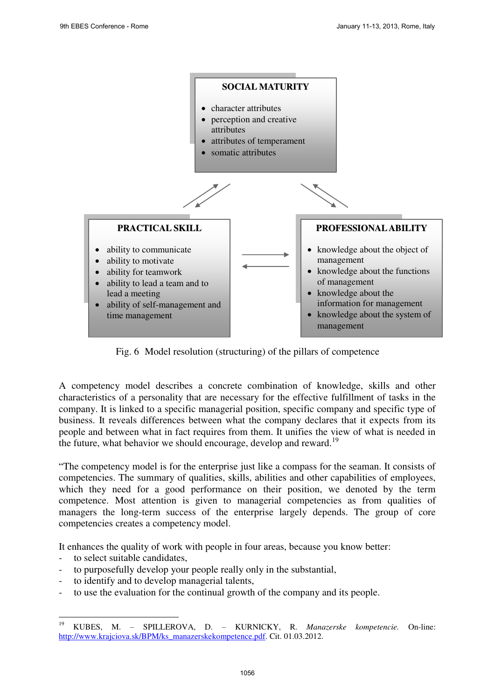

Fig. 6 Model resolution (structuring) of the pillars of competence

A competency model describes a concrete combination of knowledge, skills and other characteristics of a personality that are necessary for the effective fulfillment of tasks in the company. It is linked to a specific managerial position, specific company and specific type of business. It reveals differences between what the company declares that it expects from its people and between what in fact requires from them. It unifies the view of what is needed in the future, what behavior we should encourage, develop and reward.<sup>19</sup>

"The competency model is for the enterprise just like a compass for the seaman. It consists of competencies. The summary of qualities, skills, abilities and other capabilities of employees, which they need for a good performance on their position, we denoted by the term competence. Most attention is given to managerial competencies as from qualities of managers the long-term success of the enterprise largely depends. The group of core competencies creates a competency model.

It enhances the quality of work with people in four areas, because you know better:

- to select suitable candidates.
- to purposefully develop your people really only in the substantial,
- to identify and to develop managerial talents,
- to use the evaluation for the continual growth of the company and its people.

<sup>19</sup> <sup>19</sup> KUBES, M. – SPILLEROVA, D. – KURNICKY, R. *Manazerske kompetencie.* On-line: [http://www.krajciova.sk/BPM/ks\\_manazerskekompetence.pdf.](http://www.krajciova.sk/BPM/ks_manazerskekompetence.pdf) Cit. 01.03.2012.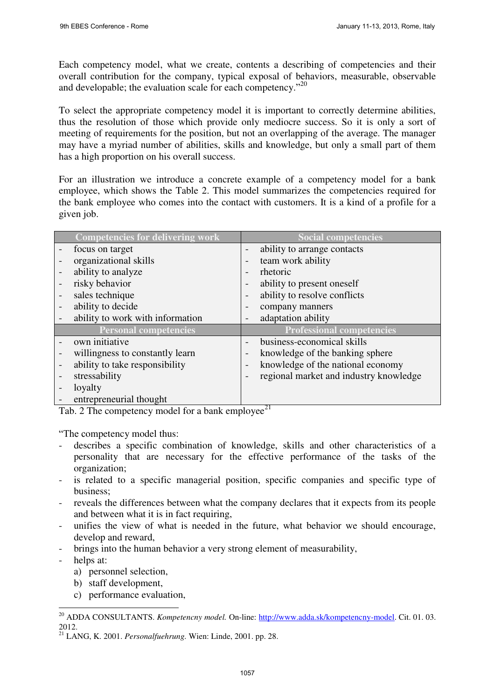Each competency model, what we create, contents a describing of competencies and their overall contribution for the company, typical exposal of behaviors, measurable, observable and developable; the evaluation scale for each competency."<sup>20</sup>

To select the appropriate competency model it is important to correctly determine abilities, thus the resolution of those which provide only mediocre success. So it is only a sort of meeting of requirements for the position, but not an overlapping of the average. The manager may have a myriad number of abilities, skills and knowledge, but only a small part of them has a high proportion on his overall success.

For an illustration we introduce a concrete example of a competency model for a bank employee, which shows the Table 2. This model summarizes the competencies required for the bank employee who comes into the contact with customers. It is a kind of a profile for a given job.

|                | <b>Competencies for delivering work</b> |                              | <b>Social competencies</b>             |
|----------------|-----------------------------------------|------------------------------|----------------------------------------|
|                | focus on target                         |                              | ability to arrange contacts            |
|                | organizational skills                   |                              | team work ability                      |
|                | ability to analyze                      |                              | rhetoric                               |
| risky behavior |                                         | $\overline{\phantom{0}}$     | ability to present oneself             |
|                | sales technique                         |                              | ability to resolve conflicts           |
|                | ability to decide                       |                              | company manners                        |
|                | ability to work with information        |                              | adaptation ability                     |
|                | <b>Personal competencies</b>            |                              | <b>Professional competencies</b>       |
|                | own initiative                          |                              | business-economical skills             |
|                | willingness to constantly learn         | $\qquad \qquad \blacksquare$ | knowledge of the banking sphere        |
|                | ability to take responsibility          |                              | knowledge of the national economy      |
|                | stressability                           |                              | regional market and industry knowledge |
|                | loyalty                                 |                              |                                        |
|                | entrepreneurial thought                 |                              |                                        |

Tab. 2 The competency model for a bank employee<sup>21</sup>

"The competency model thus:

- describes a specific combination of knowledge, skills and other characteristics of a personality that are necessary for the effective performance of the tasks of the organization;
- is related to a specific managerial position, specific companies and specific type of business;
- reveals the differences between what the company declares that it expects from its people and between what it is in fact requiring,
- unifies the view of what is needed in the future, what behavior we should encourage, develop and reward,
- brings into the human behavior a very strong element of measurability,
- helps at:

<u>.</u>

- a) personnel selection,
- b) staff development,
- c) performance evaluation,

<sup>&</sup>lt;sup>20</sup> ADDA CONSULTANTS. *Kompetencny model*. On-line: [http://www.adda.sk/kompetencny-model.](http://www.adda.sk/kompetencny-model) Cit. 01. 03. 2012.

<sup>21</sup> LANG, K. 2001. *Personalfuehrung.* Wien: Linde, 2001. pp. 28.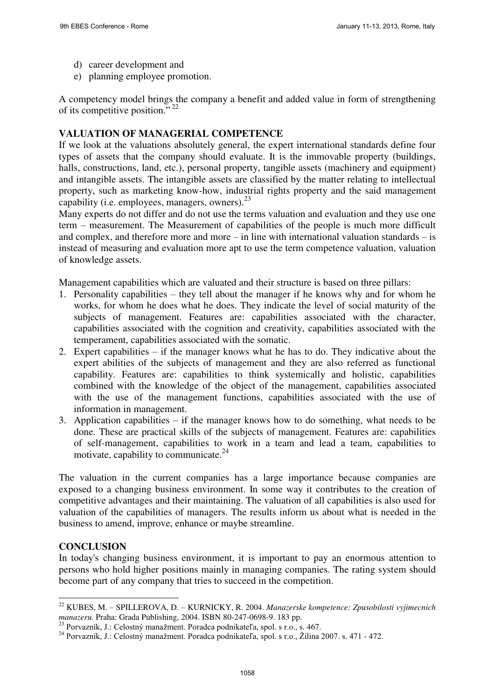- d) career development and
- e) planning employee promotion.

A competency model brings the company a benefit and added value in form of strengthening of its competitive position."<sup>22</sup>

#### **VALUATION OF MANAGERIAL COMPETENCE**

If we look at the valuations absolutely general, the expert international standards define four types of assets that the company should evaluate. It is the immovable property (buildings, halls, constructions, land, etc.), personal property, tangible assets (machinery and equipment) and intangible assets. The intangible assets are classified by the matter relating to intellectual property, such as marketing know-how, industrial rights property and the said management capability (i.e. employees, managers, owners). $^{23}$ 

Many experts do not differ and do not use the terms valuation and evaluation and they use one term – measurement. The Measurement of capabilities of the people is much more difficult and complex, and therefore more and more – in line with international valuation standards – is instead of measuring and evaluation more apt to use the term competence valuation, valuation of knowledge assets.

Management capabilities which are valuated and their structure is based on three pillars:

- 1. Personality capabilities they tell about the manager if he knows why and for whom he works, for whom he does what he does. They indicate the level of social maturity of the subjects of management. Features are: capabilities associated with the character, capabilities associated with the cognition and creativity, capabilities associated with the temperament, capabilities associated with the somatic.
- 2. Expert capabilities if the manager knows what he has to do. They indicative about the expert abilities of the subjects of management and they are also referred as functional capability. Features are: capabilities to think systemically and holistic, capabilities combined with the knowledge of the object of the management, capabilities associated with the use of the management functions, capabilities associated with the use of information in management.
- 3. Application capabilities if the manager knows how to do something, what needs to be done. These are practical skills of the subjects of management. Features are: capabilities of self-management, capabilities to work in a team and lead a team, capabilities to motivate, capability to communicate. $24$

The valuation in the current companies has a large importance because companies are exposed to a changing business environment. In some way it contributes to the creation of competitive advantages and their maintaining. The valuation of all capabilities is also used for valuation of the capabilities of managers. The results inform us about what is needed in the business to amend, improve, enhance or maybe streamline.

## **CONCLUSION**

In today's changing business environment, it is important to pay an enormous attention to persons who hold higher positions mainly in managing companies. The rating system should become part of any company that tries to succeed in the competition.

<sup>-</sup><sup>22</sup> KUBES, M. – SPILLEROVA, D. – KURNICKY, R. 2004. *Manazerske kompetence: Zpusobilosti vyjimecnich manazeru.* Praha: Grada Publishing, 2004. ISBN 80-247-0698-9. 183 pp.

<sup>23</sup> Porvazník, J.: Celostný manažment. Poradca podnikateľa, spol. s r.o., s. 467.

<sup>24</sup> Porvazník, J.: Celostný manažment. Poradca podnikateľa, spol. s r.o., Žilina 2007. s. 471 - 472.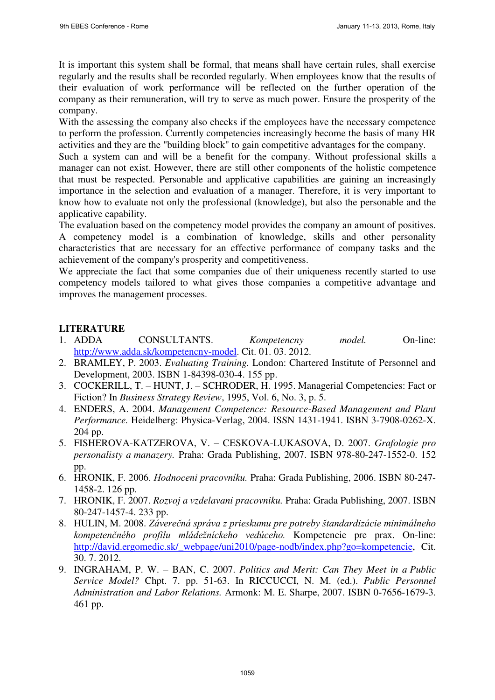It is important this system shall be formal, that means shall have certain rules, shall exercise regularly and the results shall be recorded regularly. When employees know that the results of their evaluation of work performance will be reflected on the further operation of the company as their remuneration, will try to serve as much power. Ensure the prosperity of the company.

With the assessing the company also checks if the employees have the necessary competence to perform the profession. Currently competencies increasingly become the basis of many HR activities and they are the "building block" to gain competitive advantages for the company.

Such a system can and will be a benefit for the company. Without professional skills a manager can not exist. However, there are still other components of the holistic competence that must be respected. Personable and applicative capabilities are gaining an increasingly importance in the selection and evaluation of a manager. Therefore, it is very important to know how to evaluate not only the professional (knowledge), but also the personable and the applicative capability.

The evaluation based on the competency model provides the company an amount of positives. A competency model is a combination of knowledge, skills and other personality characteristics that are necessary for an effective performance of company tasks and the achievement of the company's prosperity and competitiveness.

We appreciate the fact that some companies due of their uniqueness recently started to use competency models tailored to what gives those companies a competitive advantage and improves the management processes.

## **LITERATURE**

- 1. ADDA CONSULTANTS. *Kompetencny model.* On-line: [http://www.adda.sk/kompetencny-model.](http://www.adda.sk/kompetencny-model) Cit. 01. 03. 2012.
- 2. BRAMLEY, P. 2003. *Evaluating Training.* London: Chartered Institute of Personnel and Development, 2003. ISBN 1-84398-030-4. 155 pp.
- 3. COCKERILL, T. HUNT, J. SCHRODER, H. 1995. Managerial Competencies: Fact or Fiction? In *Business Strategy Review*, 1995, Vol. 6, No. 3, p. 5.
- 4. ENDERS, A. 2004. *Management Competence: Resource-Based Management and Plant Performance.* Heidelberg: Physica-Verlag, 2004. ISSN 1431-1941. ISBN 3-7908-0262-X. 204 pp.
- 5. FISHEROVA-KATZEROVA, V. CESKOVA-LUKASOVA, D. 2007. *Grafologie pro personalisty a manazery.* Praha: Grada Publishing, 2007. ISBN 978-80-247-1552-0. 152 pp.
- 6. HRONIK, F. 2006. *Hodnoceni pracovníku.* Praha: Grada Publishing, 2006. ISBN 80-247- 1458-2. 126 pp.
- 7. HRONIK, F. 2007. *Rozvoj a vzdelavani pracovniku.* Praha: Grada Publishing, 2007. ISBN 80-247-1457-4. 233 pp.
- 8. HULIN, M. 2008. *Záverečná správa z prieskumu pre potreby štandardizácie minimálneho kompetenčného profilu mládežníckeho vedúceho.* Kompetencie pre prax. On-line: [http://david.ergomedic.sk/\\_webpage/uni2010/page-nodb/index.php?go=kompetencie,](http://david.ergomedic.sk/_webpage/uni2010/page-nodb/index.php?go=kompetencie) Cit. 30. 7. 2012.
- 9. INGRAHAM, P. W. BAN, C. 2007. *Politics and Merit: Can They Meet in a Public Service Model?* Chpt. 7. pp. 51-63. In RICCUCCI, N. M. (ed.). *Public Personnel Administration and Labor Relations.* Armonk: M. E. Sharpe, 2007. ISBN 0-7656-1679-3. 461 pp.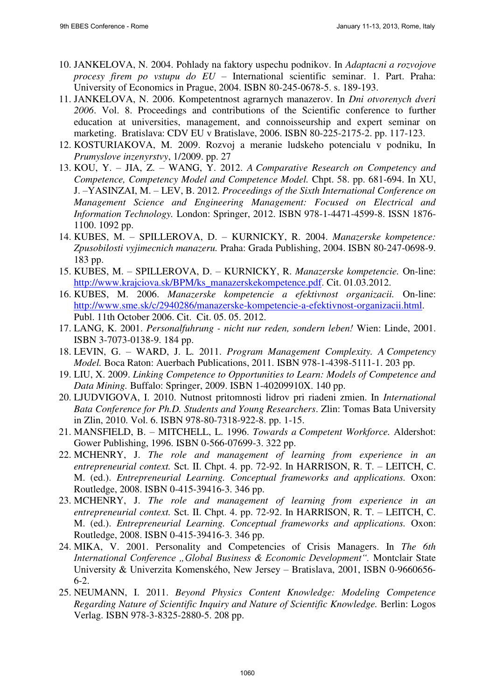- 10. JANKELOVA, N. 2004. Pohlady na faktory uspechu podnikov. In *Adaptacni a rozvojove procesy firem po vstupu do EU* – International scientific seminar. 1. Part. Praha: University of Economics in Prague, 2004. ISBN 80-245-0678-5. s. 189-193.
- 11. JANKELOVA, N. 2006. Kompetentnost agrarnych manazerov. In *Dni otvorenych dveri 2006*. Vol. 8. Proceedings and contributions of the Scientific conference to further education at universities, management, and connoisseurship and expert seminar on marketing. Bratislava: CDV EU v Bratislave, 2006. ISBN 80-225-2175-2. pp. 117-123.
- 12. KOSTURIAKOVA, M. 2009. Rozvoj a meranie ludskeho potencialu v podniku, In *Prumyslove inzenyrstvy*, 1/2009. pp. 27
- 13. KOU, Y. JIA, Z. WANG, Y. 2012. *A Comparative Research on Competency and Competence, Competency Model and Competence Model.* Chpt. 58. pp. 681-694. In XU, J. –YASINZAI, M. – LEV, B. 2012. *Proceedings of the Sixth International Conference on Management Science and Engineering Management: Focused on Electrical and Information Technology.* London: Springer, 2012. ISBN 978-1-4471-4599-8. ISSN 1876- 1100. 1092 pp.
- 14. KUBES, M. SPILLEROVA, D. KURNICKY, R. 2004. *Manazerske kompetence: Zpusobilosti vyjimecnich manazeru.* Praha: Grada Publishing, 2004. ISBN 80-247-0698-9. 183 pp.
- 15. KUBES, M. SPILLEROVA, D. KURNICKY, R. *Manazerske kompetencie.* On-line: [http://www.krajciova.sk/BPM/ks\\_manazerskekompetence.pdf.](http://www.krajciova.sk/BPM/ks_manazerskekompetence.pdf) Cit. 01.03.2012.
- 16. KUBES, M. 2006. *Manazerske kompetencie a efektivnost organizacii.* On-line: [http://www.sme.sk/c/2940286/manazerske-kompetencie-a-efektivnost-organizacii.html.](http://www.sme.sk/c/2940286/manazerske-kompetencie-a-efektivnost-organizacii.html) Publ. 11th October 2006. Cit. Cit. 05. 05. 2012.
- 17. LANG, K. 2001. *Personalfuhrung nicht nur reden, sondern leben!* Wien: Linde, 2001. ISBN 3-7073-0138-9. 184 pp.
- 18. LEVIN, G. WARD, J. L. 2011. *Program Management Complexity. A Competency Model.* Boca Raton: Auerbach Publications, 2011. ISBN 978-1-4398-5111-1. 203 pp.
- 19. LIU, X. 2009. *Linking Competence to Opportunities to Learn: Models of Competence and Data Mining.* Buffalo: Springer, 2009. ISBN 1-40209910X. 140 pp.
- 20. LJUDVIGOVA, I. 2010. Nutnost pritomnosti lidrov pri riadeni zmien. In *International Bata Conference for Ph.D. Students and Young Researchers*. Zlin: Tomas Bata University in Zlin, 2010. Vol. 6. ISBN 978-80-7318-922-8. pp. 1-15.
- 21. MANSFIELD, B. MITCHELL, L. 1996. *Towards a Competent Workforce.* Aldershot: Gower Publishing, 1996. ISBN 0-566-07699-3. 322 pp.
- 22. MCHENRY, J. *The role and management of learning from experience in an entrepreneurial context.* Sct. II. Chpt. 4. pp. 72-92. In HARRISON, R. T. – LEITCH, C. M. (ed.). *Entrepreneurial Learning. Conceptual frameworks and applications.* Oxon: Routledge, 2008. ISBN 0-415-39416-3. 346 pp.
- 23. MCHENRY, J. *The role and management of learning from experience in an entrepreneurial context.* Sct. II. Chpt. 4. pp. 72-92. In HARRISON, R. T. – LEITCH, C. M. (ed.). *Entrepreneurial Learning. Conceptual frameworks and applications.* Oxon: Routledge, 2008. ISBN 0-415-39416-3. 346 pp.
- 24. MIKA, V. 2001. Personality and Competencies of Crisis Managers. In *The 6th International Conference "Global Business & Economic Development".* Montclair State University & Univerzita Komenského, New Jersey – Bratislava, 2001, ISBN 0-9660656- 6-2.
- 25. NEUMANN, I. 2011. *Beyond Physics Content Knowledge: Modeling Competence Regarding Nature of Scientific Inquiry and Nature of Scientific Knowledge.* Berlin: Logos Verlag. ISBN 978-3-8325-2880-5. 208 pp.